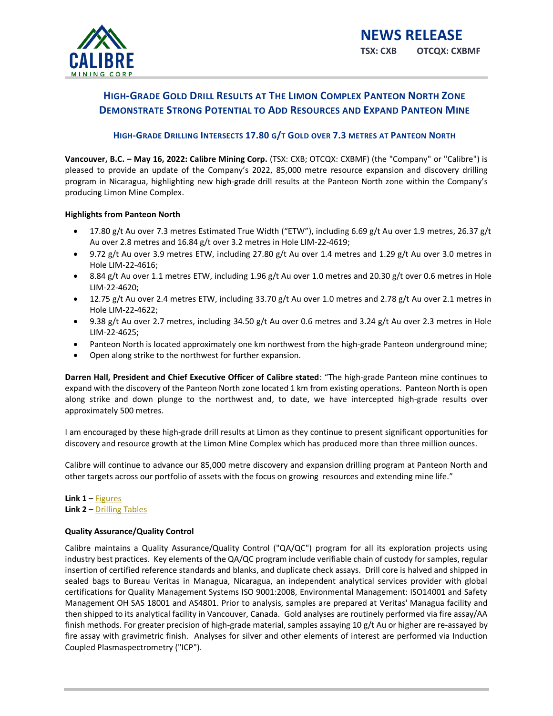

# **HIGH-GRADE GOLD DRILL RESULTS AT THE LIMON COMPLEX PANTEON NORTH ZONE DEMONSTRATE STRONG POTENTIAL TO ADD RESOURCES AND EXPAND PANTEON MINE**

## **HIGH-GRADE DRILLING INTERSECTS 17.80 G/T GOLD OVER 7.3 METRES AT PANTEON NORTH**

**Vancouver, B.C. – May 16, 2022: Calibre Mining Corp.** (TSX: CXB; OTCQX: CXBMF) (the "Company" or "Calibre") is pleased to provide an update of the Company's 2022, 85,000 metre resource expansion and discovery drilling program in Nicaragua, highlighting new high-grade drill results at the Panteon North zone within the Company's producing Limon Mine Complex.

## **Highlights from Panteon North**

- 17.80 g/t Au over 7.3 metres Estimated True Width ("ETW"), including 6.69 g/t Au over 1.9 metres, 26.37 g/t Au over 2.8 metres and 16.84 g/t over 3.2 metres in Hole LIM-22-4619;
- 9.72 g/t Au over 3.9 metres ETW, including 27.80 g/t Au over 1.4 metres and 1.29 g/t Au over 3.0 metres in Hole LIM-22-4616;
- 8.84 g/t Au over 1.1 metres ETW, including 1.96 g/t Au over 1.0 metres and 20.30 g/t over 0.6 metres in Hole LIM-22-4620;
- 12.75 g/t Au over 2.4 metres ETW, including 33.70 g/t Au over 1.0 metres and 2.78 g/t Au over 2.1 metres in Hole LIM-22-4622;
- 9.38 g/t Au over 2.7 metres, including 34.50 g/t Au over 0.6 metres and 3.24 g/t Au over 2.3 metres in Hole LIM-22-4625;
- Panteon North is located approximately one km northwest from the high-grade Panteon underground mine;
- Open along strike to the northwest for further expansion.

**Darren Hall, President and Chief Executive Officer of Calibre stated**: "The high-grade Panteon mine continues to expand with the discovery of the Panteon North zone located 1 km from existing operations. Panteon North is open along strike and down plunge to the northwest and, to date, we have intercepted high-grade results over approximately 500 metres.

I am encouraged by these high-grade drill results at Limon as they continue to present significant opportunities for discovery and resource growth at the Limon Mine Complex which has produced more than three million ounces.

Calibre will continue to advance our 85,000 metre discovery and expansion drilling program at Panteon North and other targets across our portfolio of assets with the focus on growing resources and extending mine life."

**Link 1** – [Figures](https://www.calibremining.com/site/assets/files/7000/may_16-_2022_panteon_north_drill_results_figures.pdf) **Link 2** – [Drilling Tables](https://www.calibremining.com/site/assets/files/7000/drill_hole_table.pdf)

## **Quality Assurance/Quality Control**

Calibre maintains a Quality Assurance/Quality Control ("QA/QC") program for all its exploration projects using industry best practices. Key elements of the QA/QC program include verifiable chain of custody for samples, regular insertion of certified reference standards and blanks, and duplicate check assays. Drill core is halved and shipped in sealed bags to Bureau Veritas in Managua, Nicaragua, an independent analytical services provider with global certifications for Quality Management Systems ISO 9001:2008, Environmental Management: ISO14001 and Safety Management OH SAS 18001 and AS4801. Prior to analysis, samples are prepared at Veritas' Managua facility and then shipped to its analytical facility in Vancouver, Canada. Gold analyses are routinely performed via fire assay/AA finish methods. For greater precision of high-grade material, samples assaying 10 g/t Au or higher are re-assayed by fire assay with gravimetric finish. Analyses for silver and other elements of interest are performed via Induction Coupled Plasmaspectrometry ("ICP").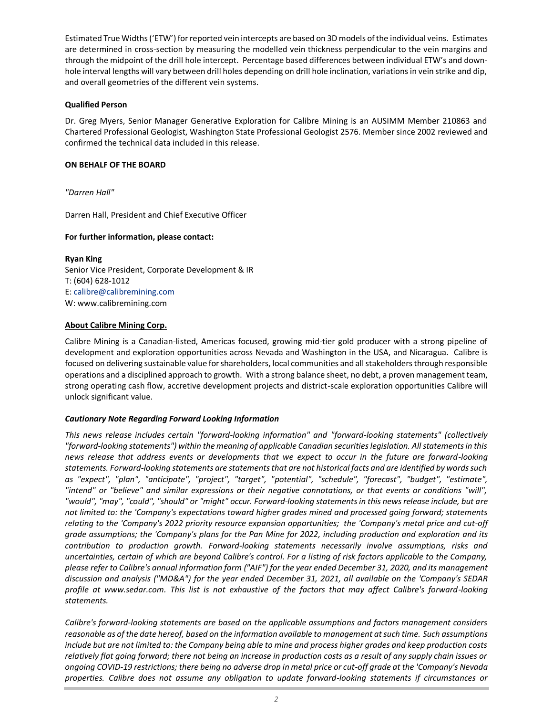Estimated True Widths ('ETW') for reported vein intercepts are based on 3D models of the individual veins. Estimates are determined in cross-section by measuring the modelled vein thickness perpendicular to the vein margins and through the midpoint of the drill hole intercept. Percentage based differences between individual ETW's and downhole interval lengths will vary between drill holes depending on drill hole inclination, variations in vein strike and dip, and overall geometries of the different vein systems.

## **Qualified Person**

Dr. Greg Myers, Senior Manager Generative Exploration for Calibre Mining is an AUSIMM Member 210863 and Chartered Professional Geologist, Washington State Professional Geologist 2576. Member since 2002 reviewed and confirmed the technical data included in this release.

#### **ON BEHALF OF THE BOARD**

*"Darren Hall"*

Darren Hall, President and Chief Executive Officer

#### **For further information, please contact:**

**Ryan King** Senior Vice President, Corporate Development & IR T: (604) 628-1012 E: calibre@calibremining.com W: www.calibremining.com

#### **About Calibre Mining Corp.**

Calibre Mining is a Canadian-listed, Americas focused, growing mid-tier gold producer with a strong pipeline of development and exploration opportunities across Nevada and Washington in the USA, and Nicaragua. Calibre is focused on delivering sustainable value for shareholders, local communities and all stakeholders through responsible operations and a disciplined approach to growth. With a strong balance sheet, no debt, a proven management team, strong operating cash flow, accretive development projects and district-scale exploration opportunities Calibre will unlock significant value.

#### *Cautionary Note Regarding Forward Looking Information*

*This news release includes certain "forward-looking information" and "forward-looking statements" (collectively "forward-looking statements") within the meaning of applicable Canadian securities legislation. All statements in this news release that address events or developments that we expect to occur in the future are forward-looking statements. Forward-looking statements are statements that are not historical facts and are identified by words such as "expect", "plan", "anticipate", "project", "target", "potential", "schedule", "forecast", "budget", "estimate", "intend" or "believe" and similar expressions or their negative connotations, or that events or conditions "will", "would", "may", "could", "should" or "might" occur. Forward-looking statements in this news release include, but are not limited to: the 'Company's expectations toward higher grades mined and processed going forward; statements relating to the 'Company's 2022 priority resource expansion opportunities; the 'Company's metal price and cut-off grade assumptions; the 'Company's plans for the Pan Mine for 2022, including production and exploration and its contribution to production growth. Forward-looking statements necessarily involve assumptions, risks and uncertainties, certain of which are beyond Calibre's control. For a listing of risk factors applicable to the Company, please refer to Calibre's annual information form ("AIF") for the year ended December 31, 2020, and its management discussion and analysis ("MD&A") for the year ended December 31, 2021, all available on the 'Company's SEDAR profile at www.sedar.com. This list is not exhaustive of the factors that may affect Calibre's forward-looking statements.*

*Calibre's forward-looking statements are based on the applicable assumptions and factors management considers reasonable as of the date hereof, based on the information available to management at such time. Such assumptions include but are not limited to: the Company being able to mine and process higher grades and keep production costs relatively flat going forward; there not being an increase in production costs as a result of any supply chain issues or ongoing COVID-19 restrictions; there being no adverse drop in metal price or cut-off grade at the 'Company's Nevada properties. Calibre does not assume any obligation to update forward-looking statements if circumstances or*